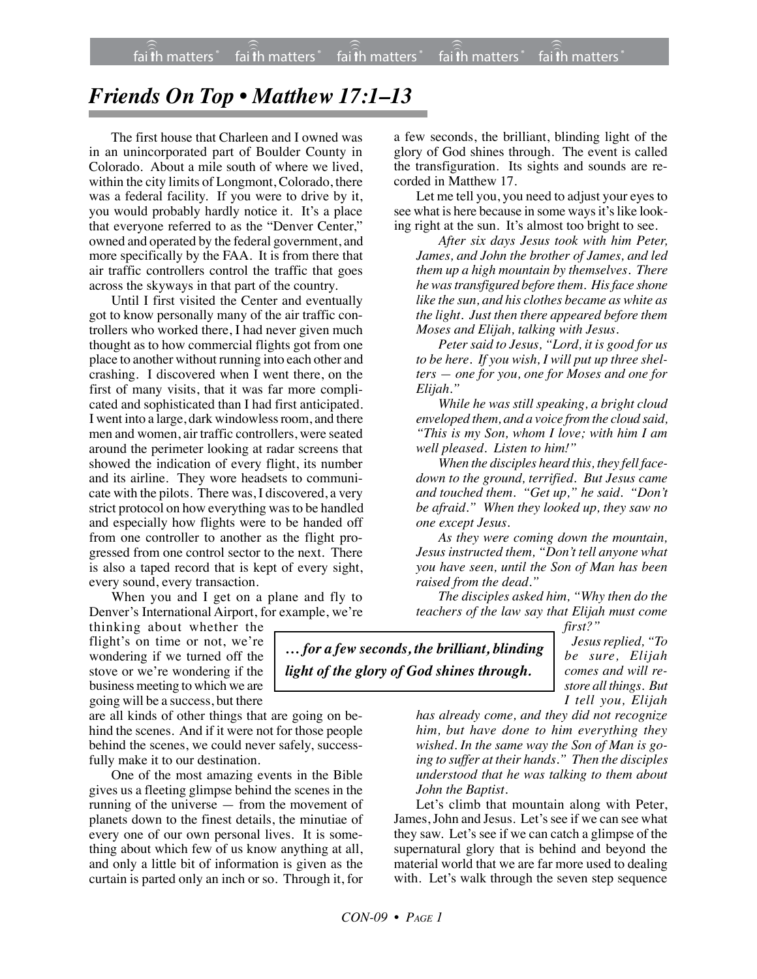## *Friends On Top • Matthew 17:1–13*

The first house that Charleen and I owned was in an unincorporated part of Boulder County in Colorado. About a mile south of where we lived, within the city limits of Longmont, Colorado, there was a federal facility. If you were to drive by it, you would probably hardly notice it. It's a place that everyone referred to as the "Denver Center," owned and operated by the federal government, and more specifically by the FAA. It is from there that air traffic controllers control the traffic that goes across the skyways in that part of the country.

Until I first visited the Center and eventually got to know personally many of the air traffic controllers who worked there, I had never given much thought as to how commercial flights got from one place to another without running into each other and crashing. I discovered when I went there, on the first of many visits, that it was far more complicated and sophisticated than I had first anticipated. I went into a large, dark windowless room, and there men and women, air traffic controllers, were seated around the perimeter looking at radar screens that showed the indication of every flight, its number and its airline. They wore headsets to communicate with the pilots. There was, I discovered, a very strict protocol on how everything was to be handled and especially how flights were to be handed off from one controller to another as the flight progressed from one control sector to the next. There is also a taped record that is kept of every sight, every sound, every transaction.

When you and I get on a plane and fly to Denver's International Airport, for example, we're

thinking about whether the flight's on time or not, we're wondering if we turned off the stove or we're wondering if the business meeting to which we are going will be a success, but there

are all kinds of other things that are going on behind the scenes. And if it were not for those people behind the scenes, we could never safely, successfully make it to our destination.

One of the most amazing events in the Bible gives us a fleeting glimpse behind the scenes in the running of the universe — from the movement of planets down to the finest details, the minutiae of every one of our own personal lives. It is something about which few of us know anything at all, and only a little bit of information is given as the curtain is parted only an inch or so. Through it, for a few seconds, the brilliant, blinding light of the glory of God shines through. The event is called the transfiguration. Its sights and sounds are recorded in Matthew 17.

Let me tell you, you need to adjust your eyes to see what is here because in some ways it's like looking right at the sun. It's almost too bright to see.

*After six days Jesus took with him Peter, James, and John the brother of James, and led them up a high mountain by themselves. There he was transfigured before them. His face shone like the sun, and his clothes became as white as the light. Just then there appeared before them Moses and Elijah, talking with Jesus.*

*Peter said to Jesus, "Lord, it is good for us to be here. If you wish, I will put up three shelters — one for you, one for Moses and one for Elijah."*

*While he was still speaking, a bright cloud enveloped them, and a voice from the cloud said, "This is my Son, whom I love; with him I am well pleased. Listen to him!"*

*When the disciples heard this, they fell facedown to the ground, terrified. But Jesus came and touched them. "Get up," he said. "Don't be afraid." When they looked up, they saw no one except Jesus.*

*As they were coming down the mountain, Jesus instructed them, "Don't tell anyone what you have seen, until the Son of Man has been raised from the dead."*

*The disciples asked him, "Why then do the teachers of the law say that Elijah must come*

*first?"*

*… for a few seconds, the brilliant, blinding light of the glory of God shines through.*

*Jesus replied, "To be sure, Elijah comes and will restore all things. But I tell you, Elijah*

*has already come, and they did not recognize him, but have done to him everything they wished. In the same way the Son of Man is going to suffer at their hands." Then the disciples understood that he was talking to them about John the Baptist.*

Let's climb that mountain along with Peter, James, John and Jesus. Let's see if we can see what they saw. Let's see if we can catch a glimpse of the supernatural glory that is behind and beyond the material world that we are far more used to dealing with. Let's walk through the seven step sequence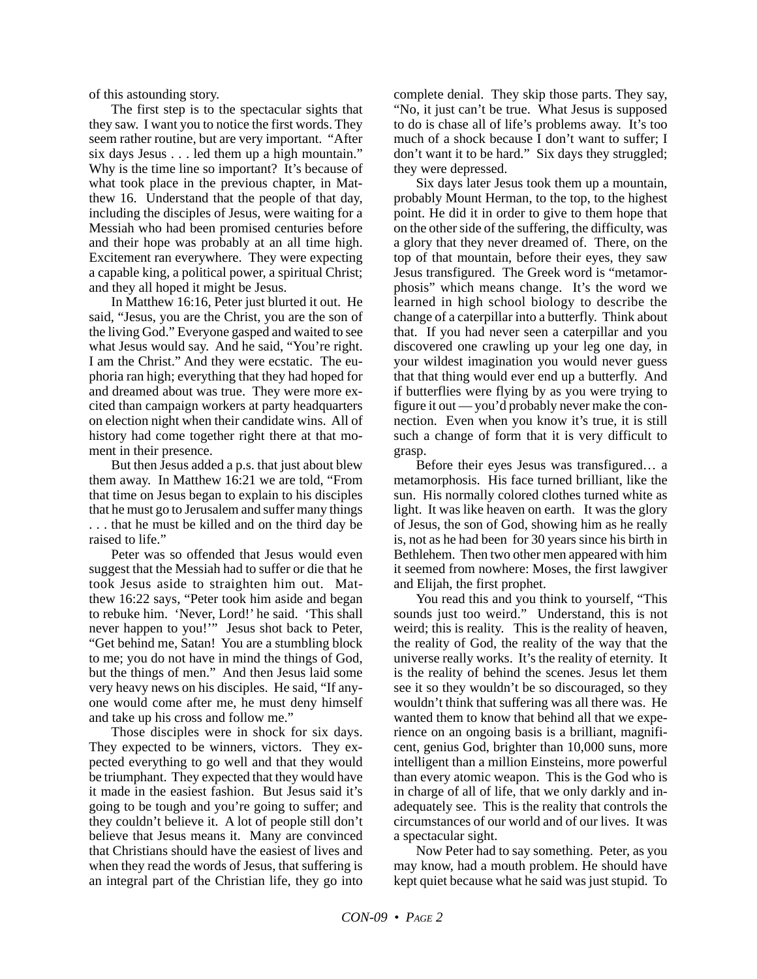of this astounding story.

The first step is to the spectacular sights that they saw. I want you to notice the first words. They seem rather routine, but are very important. "After six days Jesus . . . led them up a high mountain." Why is the time line so important? It's because of what took place in the previous chapter, in Matthew 16. Understand that the people of that day, including the disciples of Jesus, were waiting for a Messiah who had been promised centuries before and their hope was probably at an all time high. Excitement ran everywhere. They were expecting a capable king, a political power, a spiritual Christ; and they all hoped it might be Jesus.

In Matthew 16:16, Peter just blurted it out. He said, "Jesus, you are the Christ, you are the son of the living God." Everyone gasped and waited to see what Jesus would say. And he said, "You're right. I am the Christ." And they were ecstatic. The euphoria ran high; everything that they had hoped for and dreamed about was true. They were more excited than campaign workers at party headquarters on election night when their candidate wins. All of history had come together right there at that moment in their presence.

But then Jesus added a p.s. that just about blew them away. In Matthew 16:21 we are told, "From that time on Jesus began to explain to his disciples that he must go to Jerusalem and suffer many things . . . that he must be killed and on the third day be raised to life."

Peter was so offended that Jesus would even suggest that the Messiah had to suffer or die that he took Jesus aside to straighten him out. Matthew 16:22 says, "Peter took him aside and began to rebuke him. 'Never, Lord!' he said. 'This shall never happen to you!'" Jesus shot back to Peter, "Get behind me, Satan! You are a stumbling block to me; you do not have in mind the things of God, but the things of men." And then Jesus laid some very heavy news on his disciples. He said, "If anyone would come after me, he must deny himself and take up his cross and follow me."

Those disciples were in shock for six days. They expected to be winners, victors. They expected everything to go well and that they would be triumphant. They expected that they would have it made in the easiest fashion. But Jesus said it's going to be tough and you're going to suffer; and they couldn't believe it. A lot of people still don't believe that Jesus means it. Many are convinced that Christians should have the easiest of lives and when they read the words of Jesus, that suffering is an integral part of the Christian life, they go into complete denial. They skip those parts. They say, "No, it just can't be true. What Jesus is supposed to do is chase all of life's problems away. It's too much of a shock because I don't want to suffer; I don't want it to be hard." Six days they struggled; they were depressed.

Six days later Jesus took them up a mountain, probably Mount Herman, to the top, to the highest point. He did it in order to give to them hope that on the other side of the suffering, the difficulty, was a glory that they never dreamed of. There, on the top of that mountain, before their eyes, they saw Jesus transfigured. The Greek word is "metamorphosis" which means change. It's the word we learned in high school biology to describe the change of a caterpillar into a butterfly. Think about that. If you had never seen a caterpillar and you discovered one crawling up your leg one day, in your wildest imagination you would never guess that that thing would ever end up a butterfly. And if butterflies were flying by as you were trying to figure it out — you'd probably never make the connection. Even when you know it's true, it is still such a change of form that it is very difficult to grasp.

Before their eyes Jesus was transfigured… a metamorphosis. His face turned brilliant, like the sun. His normally colored clothes turned white as light. It was like heaven on earth. It was the glory of Jesus, the son of God, showing him as he really is, not as he had been for 30 years since his birth in Bethlehem. Then two other men appeared with him it seemed from nowhere: Moses, the first lawgiver and Elijah, the first prophet.

You read this and you think to yourself, "This sounds just too weird." Understand, this is not weird; this is reality. This is the reality of heaven, the reality of God, the reality of the way that the universe really works. It's the reality of eternity. It is the reality of behind the scenes. Jesus let them see it so they wouldn't be so discouraged, so they wouldn't think that suffering was all there was. He wanted them to know that behind all that we experience on an ongoing basis is a brilliant, magnificent, genius God, brighter than 10,000 suns, more intelligent than a million Einsteins, more powerful than every atomic weapon. This is the God who is in charge of all of life, that we only darkly and inadequately see. This is the reality that controls the circumstances of our world and of our lives. It was a spectacular sight.

Now Peter had to say something. Peter, as you may know, had a mouth problem. He should have kept quiet because what he said was just stupid. To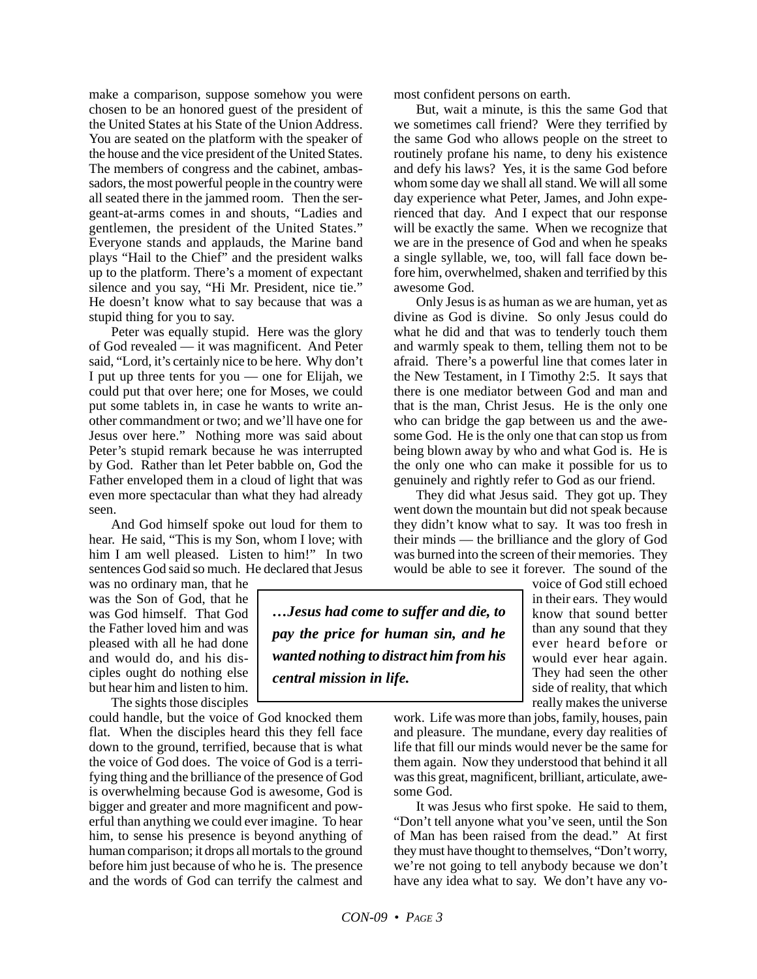make a comparison, suppose somehow you were chosen to be an honored guest of the president of the United States at his State of the Union Address. You are seated on the platform with the speaker of the house and the vice president of the United States. The members of congress and the cabinet, ambassadors, the most powerful people in the country were all seated there in the jammed room. Then the sergeant-at-arms comes in and shouts, "Ladies and gentlemen, the president of the United States." Everyone stands and applauds, the Marine band plays "Hail to the Chief" and the president walks up to the platform. There's a moment of expectant silence and you say, "Hi Mr. President, nice tie." He doesn't know what to say because that was a stupid thing for you to say.

Peter was equally stupid. Here was the glory of God revealed — it was magnificent. And Peter said, "Lord, it's certainly nice to be here. Why don't I put up three tents for you — one for Elijah, we could put that over here; one for Moses, we could put some tablets in, in case he wants to write another commandment or two; and we'll have one for Jesus over here." Nothing more was said about Peter's stupid remark because he was interrupted by God. Rather than let Peter babble on, God the Father enveloped them in a cloud of light that was even more spectacular than what they had already seen.

And God himself spoke out loud for them to hear. He said, "This is my Son, whom I love; with him I am well pleased. Listen to him!" In two sentences God said so much. He declared that Jesus

was no ordinary man, that he was the Son of God, that he was God himself. That God the Father loved him and was pleased with all he had done and would do, and his disciples ought do nothing else but hear him and listen to him. The sights those disciples

could handle, but the voice of God knocked them flat. When the disciples heard this they fell face down to the ground, terrified, because that is what the voice of God does. The voice of God is a terrifying thing and the brilliance of the presence of God is overwhelming because God is awesome, God is bigger and greater and more magnificent and powerful than anything we could ever imagine. To hear him, to sense his presence is beyond anything of human comparison; it drops all mortals to the ground before him just because of who he is. The presence and the words of God can terrify the calmest and most confident persons on earth.

But, wait a minute, is this the same God that we sometimes call friend? Were they terrified by the same God who allows people on the street to routinely profane his name, to deny his existence and defy his laws? Yes, it is the same God before whom some day we shall all stand. We will all some day experience what Peter, James, and John experienced that day. And I expect that our response will be exactly the same. When we recognize that we are in the presence of God and when he speaks a single syllable, we, too, will fall face down before him, overwhelmed, shaken and terrified by this awesome God.

Only Jesus is as human as we are human, yet as divine as God is divine. So only Jesus could do what he did and that was to tenderly touch them and warmly speak to them, telling them not to be afraid. There's a powerful line that comes later in the New Testament, in I Timothy 2:5. It says that there is one mediator between God and man and that is the man, Christ Jesus. He is the only one who can bridge the gap between us and the awesome God. He is the only one that can stop us from being blown away by who and what God is. He is the only one who can make it possible for us to genuinely and rightly refer to God as our friend.

They did what Jesus said. They got up. They went down the mountain but did not speak because they didn't know what to say. It was too fresh in their minds — the brilliance and the glory of God was burned into the screen of their memories. They would be able to see it forever. The sound of the

*…Jesus had come to suffer and die, to pay the price for human sin, and he wanted nothing to distract him from his central mission in life.*

voice of God still echoed in their ears. They would know that sound better than any sound that they ever heard before or would ever hear again. They had seen the other side of reality, that which really makes the universe

work. Life was more than jobs, family, houses, pain and pleasure. The mundane, every day realities of life that fill our minds would never be the same for them again. Now they understood that behind it all was this great, magnificent, brilliant, articulate, awesome God.

It was Jesus who first spoke. He said to them, "Don't tell anyone what you've seen, until the Son of Man has been raised from the dead." At first they must have thought to themselves, "Don't worry, we're not going to tell anybody because we don't have any idea what to say. We don't have any vo